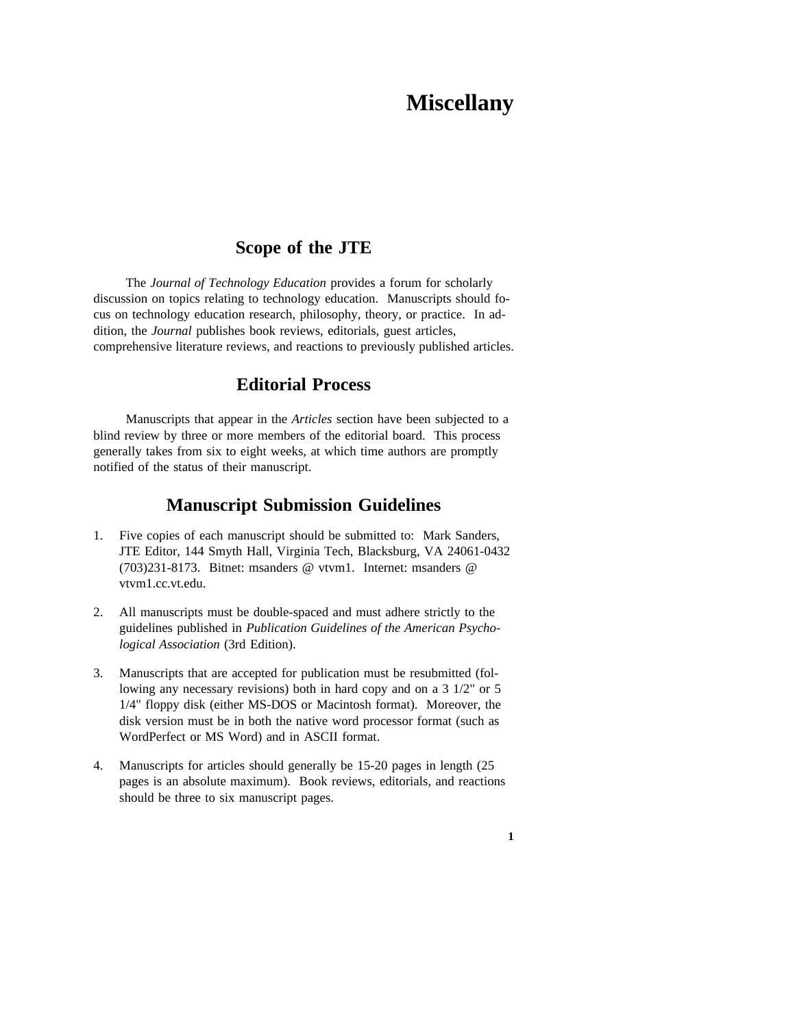# **Miscellany**

# **Scope of the JTE**

The *Journal of Technology Education* provides a forum for scholarly discussion on topics relating to technology education. Manuscripts should focus on technology education research, philosophy, theory, or practice. In addition, the *Journal* publishes book reviews, editorials, guest articles, comprehensive literature reviews, and reactions to previously published articles.

## **Editorial Process**

Manuscripts that appear in the *Articles* section have been subjected to a blind review by three or more members of the editorial board. This process generally takes from six to eight weeks, at which time authors are promptly notified of the status of their manuscript.

## **Manuscript Submission Guidelines**

- 1. Five copies of each manuscript should be submitted to: Mark Sanders, JTE Editor, 144 Smyth Hall, Virginia Tech, Blacksburg, VA 24061-0432 (703)231-8173. Bitnet: msanders @ vtvm1. Internet: msanders @ vtvm1.cc.vt.edu.
- 2. All manuscripts must be double-spaced and must adhere strictly to the guidelines published in *Publication Guidelines of the American Psychological Association* (3rd Edition).
- 3. Manuscripts that are accepted for publication must be resubmitted (following any necessary revisions) both in hard copy and on a 3 1/2" or 5 1/4" floppy disk (either MS-DOS or Macintosh format). Moreover, the disk version must be in both the native word processor format (such as WordPerfect or MS Word) and in ASCII format.
- 4. Manuscripts for articles should generally be 15-20 pages in length (25 pages is an absolute maximum). Book reviews, editorials, and reactions should be three to six manuscript pages.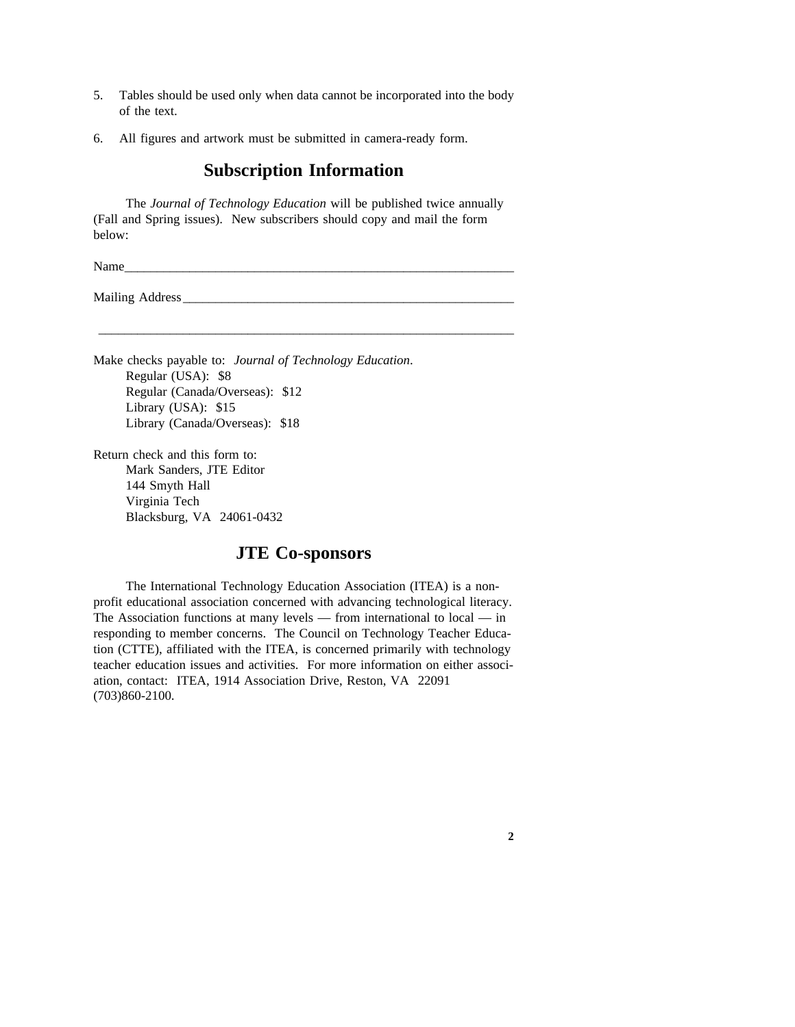- 5. Tables should be used only when data cannot be incorporated into the body of the text.
- 6. All figures and artwork must be submitted in camera-ready form.

### **Subscription Information**

The *Journal of Technology Education* will be published twice annually (Fall and Spring issues). New subscribers should copy and mail the form below:

\_\_\_\_\_\_\_\_\_\_\_\_\_\_\_\_\_\_\_\_\_\_\_\_\_\_\_\_\_\_\_\_\_\_\_\_\_\_\_\_\_\_\_\_\_\_\_\_\_\_\_\_\_\_\_\_\_\_\_\_\_\_\_\_

Name  $\blacksquare$ 

Mailing Address

Make checks payable to: *Journal of Technology Education*. Regular (USA): \$8 Regular (Canada/Overseas): \$12 Library (USA): \$15 Library (Canada/Overseas): \$18

Return check and this form to: Mark Sanders, JTE Editor 144 Smyth Hall Virginia Tech Blacksburg, VA 24061-0432

### **JTE Co-sponsors**

The International Technology Education Association (ITEA) is a nonprofit educational association concerned with advancing technological literacy. The Association functions at many levels — from international to local — in responding to member concerns. The Council on Technology Teacher Education (CTTE), affiliated with the ITEA, is concerned primarily with technology teacher education issues and activities. For more information on either association, contact: ITEA, 1914 Association Drive, Reston, VA 22091 (703)860-2100.